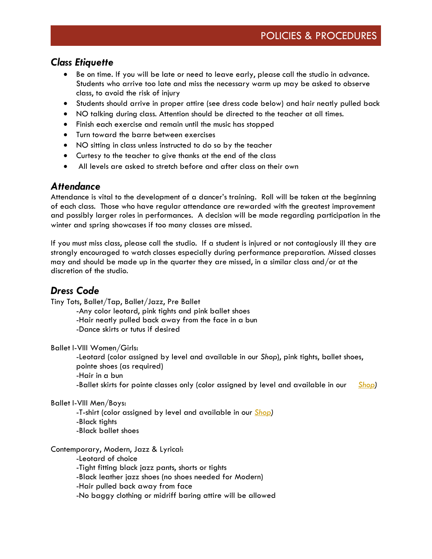# *Class Etiquette*

- Be on time. If you will be late or need to leave early, please call the studio in advance. Students who arrive too late and miss the necessary warm up may be asked to observe class, to avoid the risk of injury
- Students should arrive in proper attire (see dress code below) and hair neatly pulled back
- NO talking during class. Attention should be directed to the teacher at all times.
- Finish each exercise and remain until the music has stopped
- Turn toward the barre between exercises
- NO sitting in class unless instructed to do so by the teacher
- Curtesy to the teacher to give thanks at the end of the class
- All levels are asked to stretch before and after class on their own

### *Attendance*

Attendance is vital to the development of a dancer's training. Roll will be taken at the beginning of each class. Those who have regular attendance are rewarded with the greatest improvement and possibly larger roles in performances. A decision will be made regarding participation in the winter and spring showcases if too many classes are missed.

If you must miss class, please call the studio. If a student is injured or not contagiously ill they are strongly encouraged to watch classes especially during performance preparation. Missed classes may and should be made up in the quarter they are missed, in a similar class and/or at the discretion of the studio.

## *Dress Code*

Tiny Tots, Ballet/Tap, Ballet/Jazz, Pre Ballet

-Any color leotard, pink tights and pink ballet shoes -Hair neatly pulled back away from the face in a bun -Dance skirts or tutus if desired

Ballet I-VIII Women/Girls:

-Leotard (color assigned by level and available in our *Shop*), pink tights, ballet shoes, pointe shoes (as required) -Hair in a bun -Ballet skirts for pointe classes only (color assigned by level and available in our *Shop)*

#### Ballet I-VIII Men/Boys:

-T-shirt (color assigned by level and available in our *Shop)* -Black tights -Black ballet shoes

#### Contemporary, Modern, Jazz & Lyrical:

-Leotard of choice

-Tight fitting black jazz pants, shorts or tights

-Black leather jazz shoes (no shoes needed for Modern)

-Hair pulled back away from face

-No baggy clothing or midriff baring attire will be allowed